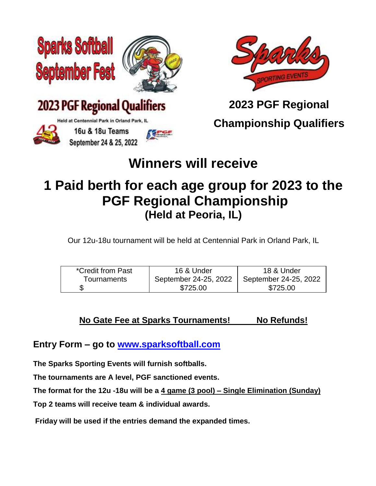







16u & 18u Teams September 24 & 25, 2022



**2023 PGF Regional**

**Championship Qualifiers**

## **Winners will receive**

## **1 Paid berth for each age group for 2023 to the PGF Regional Championship (Held at Peoria, IL)**

Our 12u-18u tournament will be held at Centennial Park in Orland Park, IL

| *Credit from Past | 16 & Under            | 18 & Under            |
|-------------------|-----------------------|-----------------------|
| Tournaments       | September 24-25, 2022 | September 24-25, 2022 |
|                   | \$725.00              | \$725.00              |

#### **No Gate Fee at Sparks Tournaments! No Refunds!**

**Entry Form – go to [www.sparksoftball.com](http://www.sparksoftball.com/)**

**The Sparks Sporting Events will furnish softballs.**

**The tournaments are A level, PGF sanctioned events.**

**The format for the 12u -18u will be a 4 game (3 pool) – Single Elimination (Sunday)**

**Top 2 teams will receive team & individual awards.**

**Friday will be used if the entries demand the expanded times.**